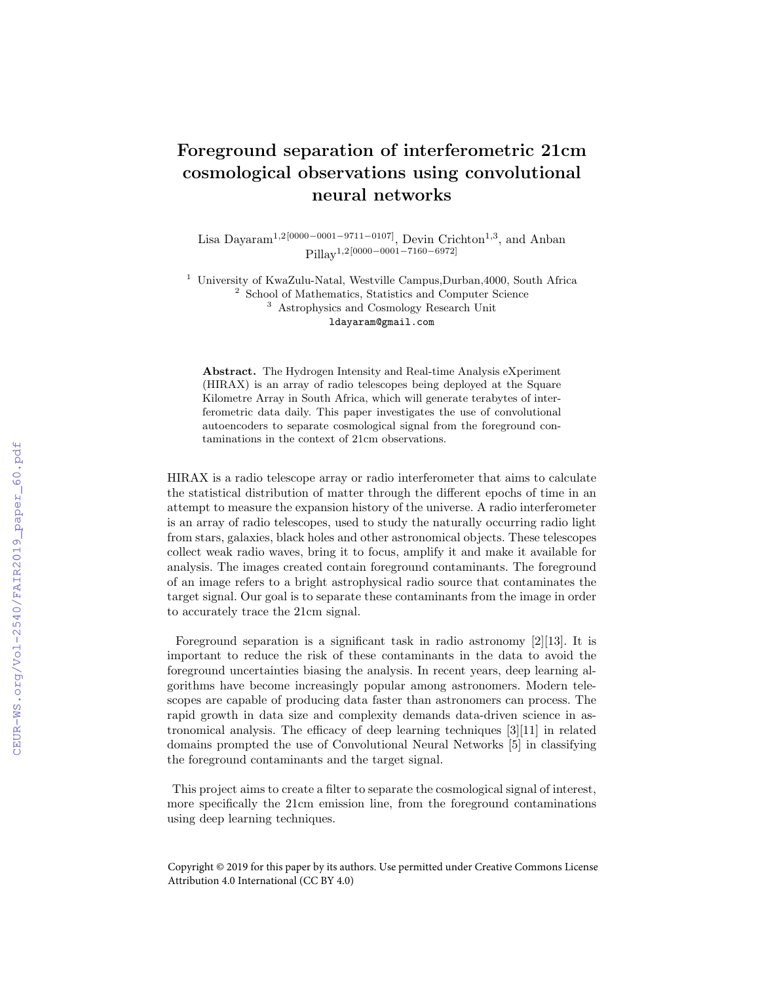## Foreground separation of interferometric 21cm cosmological observations using convolutional neural networks

Lisa Dayaram<sup>1,2[0000–0001–9711–0107]</sup>, Devin Crichton<sup>1,3</sup>, and Anban Pillay<sup>1</sup>,2[0000−0001−7160−6972]

<sup>1</sup> University of KwaZulu-Natal, Westville Campus, Durban, 4000, South Africa <sup>2</sup> School of Mathematics, Statistics and Computer Science <sup>3</sup> Astrophysics and Cosmology Research Unit ldayaram@gmail.com

Abstract. The Hydrogen Intensity and Real-time Analysis eXperiment (HIRAX) is an array of radio telescopes being deployed at the Square Kilometre Array in South Africa, which will generate terabytes of interferometric data daily. This paper investigates the use of convolutional autoencoders to separate cosmological signal from the foreground contaminations in the context of 21cm observations.

HIRAX is a radio telescope array or radio interferometer that aims to calculate the statistical distribution of matter through the different epochs of time in an attempt to measure the expansion history of the universe. A radio interferometer is an array of radio telescopes, used to study the naturally occurring radio light from stars, galaxies, black holes and other astronomical objects. These telescopes collect weak radio waves, bring it to focus, amplify it and make it available for analysis. The images created contain foreground contaminants. The foreground of an image refers to a bright astrophysical radio source that contaminates the target signal. Our goal is to separate these contaminants from the image in order to accurately trace the 21cm signal.

Foreground separation is a significant task in radio astronomy [2][13]. It is important to reduce the risk of these contaminants in the data to avoid the foreground uncertainties biasing the analysis. In recent years, deep learning algorithms have become increasingly popular among astronomers. Modern telescopes are capable of producing data faster than astronomers can process. The rapid growth in data size and complexity demands data-driven science in astronomical analysis. The efficacy of deep learning techniques [3][11] in related domains prompted the use of Convolutional Neural Networks [5] in classifying the foreground contaminants and the target signal.

This project aims to create a filter to separate the cosmological signal of interest, more specifically the 21cm emission line, from the foreground contaminations using deep learning techniques.

Copyright © 2019 for this paper by its authors. Use permitted under Creative Commons License Attribution 4.0 International (CC BY 4.0)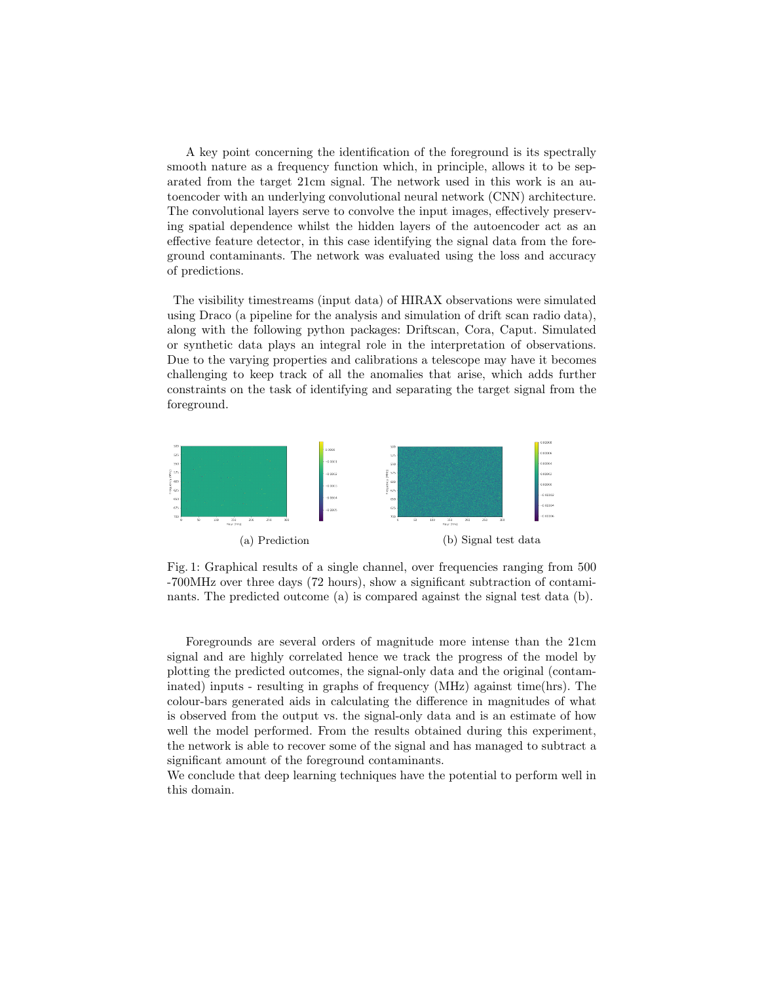A key point concerning the identification of the foreground is its spectrally smooth nature as a frequency function which, in principle, allows it to be separated from the target 21cm signal. The network used in this work is an autoencoder with an underlying convolutional neural network (CNN) architecture. The convolutional layers serve to convolve the input images, effectively preserving spatial dependence whilst the hidden layers of the autoencoder act as an effective feature detector, in this case identifying the signal data from the foreground contaminants. The network was evaluated using the loss and accuracy of predictions.

The visibility timestreams (input data) of HIRAX observations were simulated using Draco (a pipeline for the analysis and simulation of drift scan radio data), along with the following python packages: Driftscan, Cora, Caput. Simulated or synthetic data plays an integral role in the interpretation of observations. Due to the varying properties and calibrations a telescope may have it becomes challenging to keep track of all the anomalies that arise, which adds further constraints on the task of identifying and separating the target signal from the foreground.



Fig. 1: Graphical results of a single channel, over frequencies ranging from 500 -700MHz over three days (72 hours), show a significant subtraction of contaminants. The predicted outcome (a) is compared against the signal test data (b).

Foregrounds are several orders of magnitude more intense than the 21cm signal and are highly correlated hence we track the progress of the model by plotting the predicted outcomes, the signal-only data and the original (contaminated) inputs - resulting in graphs of frequency (MHz) against time(hrs). The colour-bars generated aids in calculating the difference in magnitudes of what is observed from the output vs. the signal-only data and is an estimate of how well the model performed. From the results obtained during this experiment, the network is able to recover some of the signal and has managed to subtract a significant amount of the foreground contaminants.

We conclude that deep learning techniques have the potential to perform well in this domain.